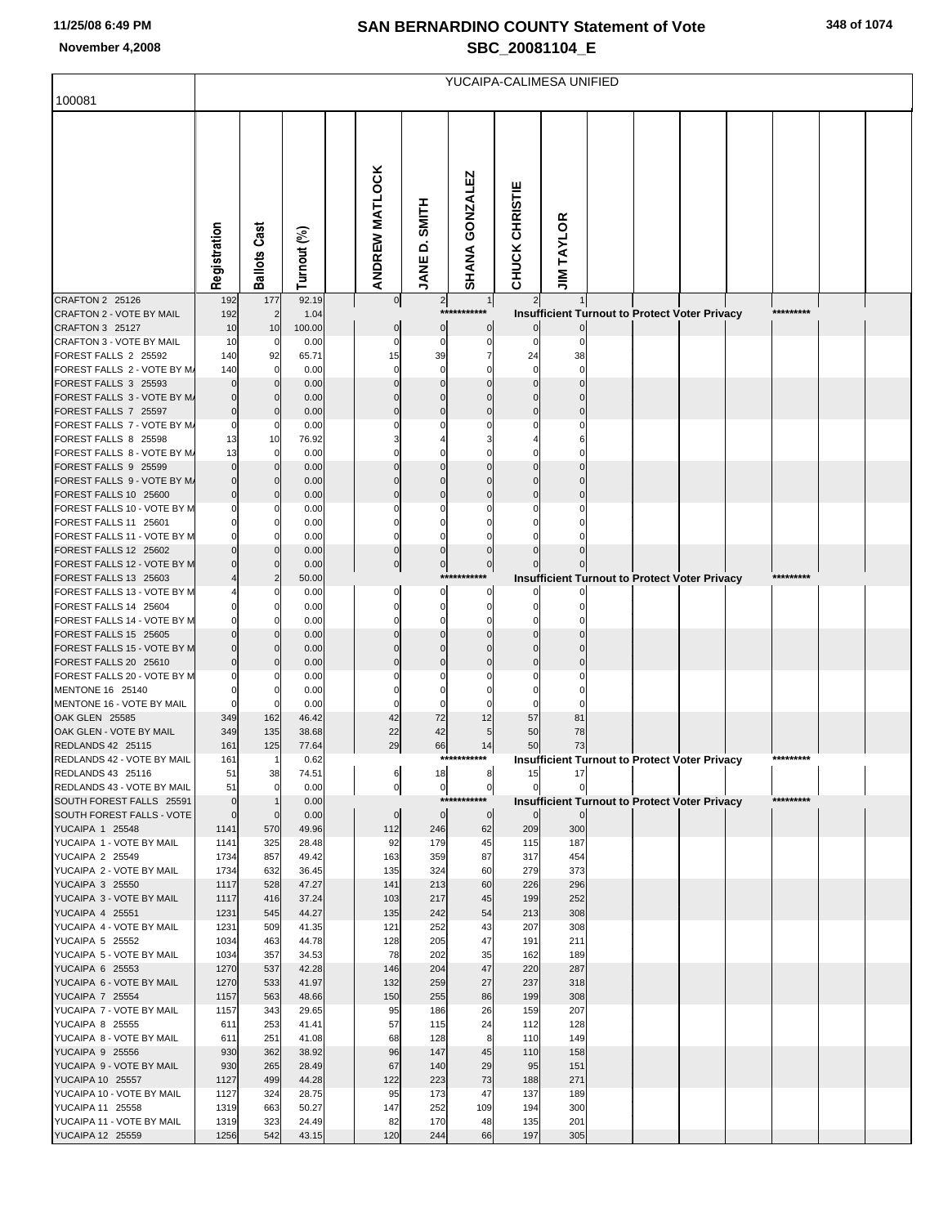## **SAN BERNARDINO COUNTY Statement of Vote November 4,2008 SBC\_20081104\_E**

|                                                              | YUCAIPA-CALIMESA UNIFIED    |                         |                |  |                       |                            |                               |                             |                                                                        |  |  |  |  |           |  |  |
|--------------------------------------------------------------|-----------------------------|-------------------------|----------------|--|-----------------------|----------------------------|-------------------------------|-----------------------------|------------------------------------------------------------------------|--|--|--|--|-----------|--|--|
| 100081                                                       |                             |                         |                |  |                       |                            |                               |                             |                                                                        |  |  |  |  |           |  |  |
|                                                              | Registration                | <b>Ballots Cast</b>     | Turnout (%)    |  | <b>ANDREW MATLOCK</b> | <b>SMITH</b><br>۵<br>JANE  | SHANA GONZALEZ                | CHUCK CHRISTIE              | <b>JIM TAYLOR</b>                                                      |  |  |  |  |           |  |  |
| CRAFTON 2 25126                                              | 192                         | 177                     | 92.19          |  | 0                     | $\overline{2}$             | 1                             | $\overline{2}$              |                                                                        |  |  |  |  |           |  |  |
| CRAFTON 2 - VOTE BY MAIL<br>CRAFTON 3 25127                  | 192<br>10                   | $\overline{2}$<br>10    | 1.04<br>100.00 |  | $\bf{0}$              | $\mathbf 0$                | ***********<br>$\overline{0}$ | $\overline{0}$              | <b>Insufficient Turnout to Protect Voter Privacy</b>                   |  |  |  |  | ********* |  |  |
| CRAFTON 3 - VOTE BY MAIL                                     | 10                          | 0                       | 0.00           |  | $\mathbf 0$           | 0                          | $\mathbf 0$                   | $\Omega$                    |                                                                        |  |  |  |  |           |  |  |
| FOREST FALLS 2 25592                                         | 140                         | 92                      | 65.71          |  | 15                    | 39                         | $\overline{7}$                | 24                          | 38                                                                     |  |  |  |  |           |  |  |
| FOREST FALLS 2 - VOTE BY M/<br>FOREST FALLS 3 25593          | 140                         | $\mathbf 0$<br>$\Omega$ | 0.00<br>0.00   |  | $\Omega$              | $\mathbf 0$<br>$\Omega$    | $\Omega$                      | $\mathbf 0$<br>$\mathbf{0}$ |                                                                        |  |  |  |  |           |  |  |
| FOREST FALLS 3 - VOTE BY M/                                  |                             | $\mathbf 0$             | 0.00           |  |                       | $\Omega$                   | $\Omega$                      | $\mathbf{0}$                |                                                                        |  |  |  |  |           |  |  |
| FOREST FALLS 7 25597                                         |                             | $\Omega$                | 0.00           |  |                       | $\Omega$                   | $\Omega$                      | $\mathbf{0}$                |                                                                        |  |  |  |  |           |  |  |
| FOREST FALLS 7 - VOTE BY M.<br>FOREST FALLS 8 25598          | 13                          | 0                       | 0.00<br>76.92  |  |                       | U                          | O                             |                             |                                                                        |  |  |  |  |           |  |  |
| FOREST FALLS 8 - VOTE BY M.                                  | 13                          | 10<br>$\mathbf 0$       | 0.00           |  |                       |                            | $\Omega$                      |                             |                                                                        |  |  |  |  |           |  |  |
| FOREST FALLS 9 25599                                         |                             | $\Omega$                | 0.00           |  |                       |                            |                               |                             |                                                                        |  |  |  |  |           |  |  |
| FOREST FALLS 9 - VOTE BY M/                                  |                             | $\Omega$                | 0.00           |  | $\Omega$              | $\Omega$                   | $\Omega$                      | $\mathbf 0$                 |                                                                        |  |  |  |  |           |  |  |
| FOREST FALLS 10 25600<br>FOREST FALLS 10 - VOTE BY M         |                             | $\Omega$<br>0           | 0.00<br>0.00   |  | $\Omega$              | $\Omega$<br>$\Omega$       | $\Omega$<br>$\Omega$          |                             |                                                                        |  |  |  |  |           |  |  |
| FOREST FALLS 11 25601                                        |                             | $\Omega$                | 0.00           |  |                       | 0                          |                               |                             |                                                                        |  |  |  |  |           |  |  |
| FOREST FALLS 11 - VOTE BY M                                  |                             | $\Omega$                | 0.00           |  | $\Omega$              | $\Omega$                   |                               |                             |                                                                        |  |  |  |  |           |  |  |
| FOREST FALLS 12 25602<br>FOREST FALLS 12 - VOTE BY M         |                             | $\Omega$<br>$\Omega$    | 0.00<br>0.00   |  | $\Omega$<br>$\pmb{0}$ | $\Omega$<br>$\overline{0}$ | $\mathbf 0$                   |                             |                                                                        |  |  |  |  |           |  |  |
| FOREST FALLS 13 25603                                        |                             | $\overline{2}$          | 50.00          |  |                       |                            | ***********                   |                             | <b>Insufficient Turnout to Protect Voter Privacy</b>                   |  |  |  |  | ********* |  |  |
| FOREST FALLS 13 - VOTE BY M                                  |                             | 0                       | 0.00           |  | $\Omega$              | $\Omega$                   | $\mathbf 0$                   | $\mathbf{0}$                |                                                                        |  |  |  |  |           |  |  |
| FOREST FALLS 14 25604                                        |                             | $\Omega$                | 0.00           |  |                       | $\mathbf 0$                | $\Omega$                      |                             |                                                                        |  |  |  |  |           |  |  |
| FOREST FALLS 14 - VOTE BY M<br>FOREST FALLS 15 25605         |                             | $\Omega$<br>$\Omega$    | 0.00<br>0.00   |  |                       | 0<br>0                     | $\Omega$<br>$\Omega$          |                             |                                                                        |  |  |  |  |           |  |  |
| FOREST FALLS 15 - VOTE BY M                                  |                             | $\Omega$                | 0.00           |  | U                     | $\Omega$                   | $\Omega$                      | $\mathbf{0}$                |                                                                        |  |  |  |  |           |  |  |
| FOREST FALLS 20 25610                                        |                             | $\Omega$                | 0.00           |  |                       | 0                          | $\Omega$                      |                             |                                                                        |  |  |  |  |           |  |  |
| FOREST FALLS 20 - VOTE BY M<br>MENTONE 16 25140              |                             | $\Omega$<br>$\Omega$    | 0.00<br>0.00   |  |                       | C                          | $\Omega$                      |                             |                                                                        |  |  |  |  |           |  |  |
| MENTONE 16 - VOTE BY MAIL                                    |                             | $\mathbf 0$             | 0.00           |  | 0                     | 0                          | $\Omega$                      |                             |                                                                        |  |  |  |  |           |  |  |
| OAK GLEN 25585                                               | 349                         | 162                     | 46.42          |  | 42                    | 72                         | 12                            | 57                          | 81                                                                     |  |  |  |  |           |  |  |
| OAK GLEN - VOTE BY MAIL                                      | 349                         | 135                     | 38.68          |  | 22                    | 42                         | 5                             | 50                          | 78                                                                     |  |  |  |  |           |  |  |
| REDLANDS 42 25115<br>REDLANDS 42 - VOTE BY MAIL              | 161<br>161                  | 125                     | 77.64<br>0.62  |  | 29                    | 66                         | 14<br>*******                 | 50                          | 73<br><b>Insufficient Turnout to Protect Voter Privacy</b>             |  |  |  |  | ********  |  |  |
| REDLANDS 43 25116                                            | 51                          | 38                      | 74.51          |  | 6                     | 18                         | 8                             | 15                          | 17                                                                     |  |  |  |  |           |  |  |
| REDLANDS 43 - VOTE BY MAIL                                   | 51                          | $\mathbf 0$             | 0.00           |  | $\overline{0}$        | $\overline{0}$             | $\overline{0}$<br>*********** | $\mathbf 0$                 |                                                                        |  |  |  |  | ********* |  |  |
| SOUTH FOREST FALLS 25591<br><b>SOUTH FOREST FALLS - VOTE</b> | $\mathbf 0$<br>$\mathbf{0}$ | $\mathbf 0$             | 0.00<br>0.00   |  | $\mathbf 0$           | $\overline{0}$             | $\mathbf 0$                   | $\overline{0}$              | <b>Insufficient Turnout to Protect Voter Privacy</b><br>$\overline{0}$ |  |  |  |  |           |  |  |
| YUCAIPA 1 25548                                              | 1141                        | 570                     | 49.96          |  | 112                   | 246                        | 62                            | 209                         | 300                                                                    |  |  |  |  |           |  |  |
| YUCAIPA 1 - VOTE BY MAIL                                     | 1141                        | 325                     | 28.48          |  | 92                    | 179                        | 45                            | 115                         | 187                                                                    |  |  |  |  |           |  |  |
| YUCAIPA 2 25549<br>YUCAIPA 2 - VOTE BY MAIL                  | 1734<br>1734                | 857<br>632              | 49.42<br>36.45 |  | 163<br>135            | 359<br>324                 | 87<br>60                      | 317<br>279                  | 454<br>373                                                             |  |  |  |  |           |  |  |
| YUCAIPA 3 25550                                              | 1117                        | 528                     | 47.27          |  | 141                   | 213                        | 60                            | 226                         | 296                                                                    |  |  |  |  |           |  |  |
| YUCAIPA 3 - VOTE BY MAIL                                     | 1117                        | 416                     | 37.24          |  | 103                   | 217                        | 45                            | 199                         | 252                                                                    |  |  |  |  |           |  |  |
| YUCAIPA 4 25551<br>YUCAIPA 4 - VOTE BY MAIL                  | 1231                        | 545<br>509              | 44.27          |  | 135                   | 242                        | 54<br>43                      | 213<br>207                  | 308                                                                    |  |  |  |  |           |  |  |
| YUCAIPA 5 25552                                              | 1231<br>1034                | 463                     | 41.35<br>44.78 |  | 121<br>128            | 252<br>205                 | 47                            | 191                         | 308<br>211                                                             |  |  |  |  |           |  |  |
| YUCAIPA 5 - VOTE BY MAIL                                     | 1034                        | 357                     | 34.53          |  | 78                    | 202                        | 35                            | 162                         | 189                                                                    |  |  |  |  |           |  |  |
| YUCAIPA 6 25553                                              | 1270                        | 537                     | 42.28          |  | 146                   | 204                        | 47                            | 220                         | 287                                                                    |  |  |  |  |           |  |  |
| YUCAIPA 6 - VOTE BY MAIL<br><b>YUCAIPA 7 25554</b>           | 1270<br>1157                | 533<br>563              | 41.97<br>48.66 |  | 132<br>150            | 259<br>255                 | 27<br>86                      | 237<br>199                  | 318<br>308                                                             |  |  |  |  |           |  |  |
| YUCAIPA 7 - VOTE BY MAIL                                     | 1157                        | 343                     | 29.65          |  | 95                    | 186                        | 26                            | 159                         | 207                                                                    |  |  |  |  |           |  |  |
| <b>YUCAIPA 8 25555</b>                                       | 611                         | 253                     | 41.41          |  | 57                    | 115                        | 24                            | 112                         | 128                                                                    |  |  |  |  |           |  |  |
| YUCAIPA 8 - VOTE BY MAIL<br>YUCAIPA 9 25556                  | 611<br>930                  | 251<br>362              | 41.08<br>38.92 |  | 68<br>96              | 128<br>147                 | 8<br>45                       | 110<br>110                  | 149<br>158                                                             |  |  |  |  |           |  |  |
| YUCAIPA 9 - VOTE BY MAIL                                     | 930                         | 265                     | 28.49          |  | 67                    | 140                        | 29                            | 95                          | 151                                                                    |  |  |  |  |           |  |  |
| YUCAIPA 10 25557                                             | 1127                        | 499                     | 44.28          |  | 122                   | 223                        | 73                            | 188                         | 271                                                                    |  |  |  |  |           |  |  |
| YUCAIPA 10 - VOTE BY MAIL                                    | 1127                        | 324                     | 28.75<br>50.27 |  | 95                    | 173                        | 47<br>109                     | 137<br>194                  | 189                                                                    |  |  |  |  |           |  |  |
| YUCAIPA 11 25558<br>YUCAIPA 11 - VOTE BY MAIL                | 1319<br>1319                | 663<br>323              | 24.49          |  | 147<br>82             | 252<br>170                 | 48                            | 135                         | 300<br>201                                                             |  |  |  |  |           |  |  |
| YUCAIPA 12 25559                                             | 1256                        | 542                     | 43.15          |  | 120                   | 244                        | 66                            | 197                         | 305                                                                    |  |  |  |  |           |  |  |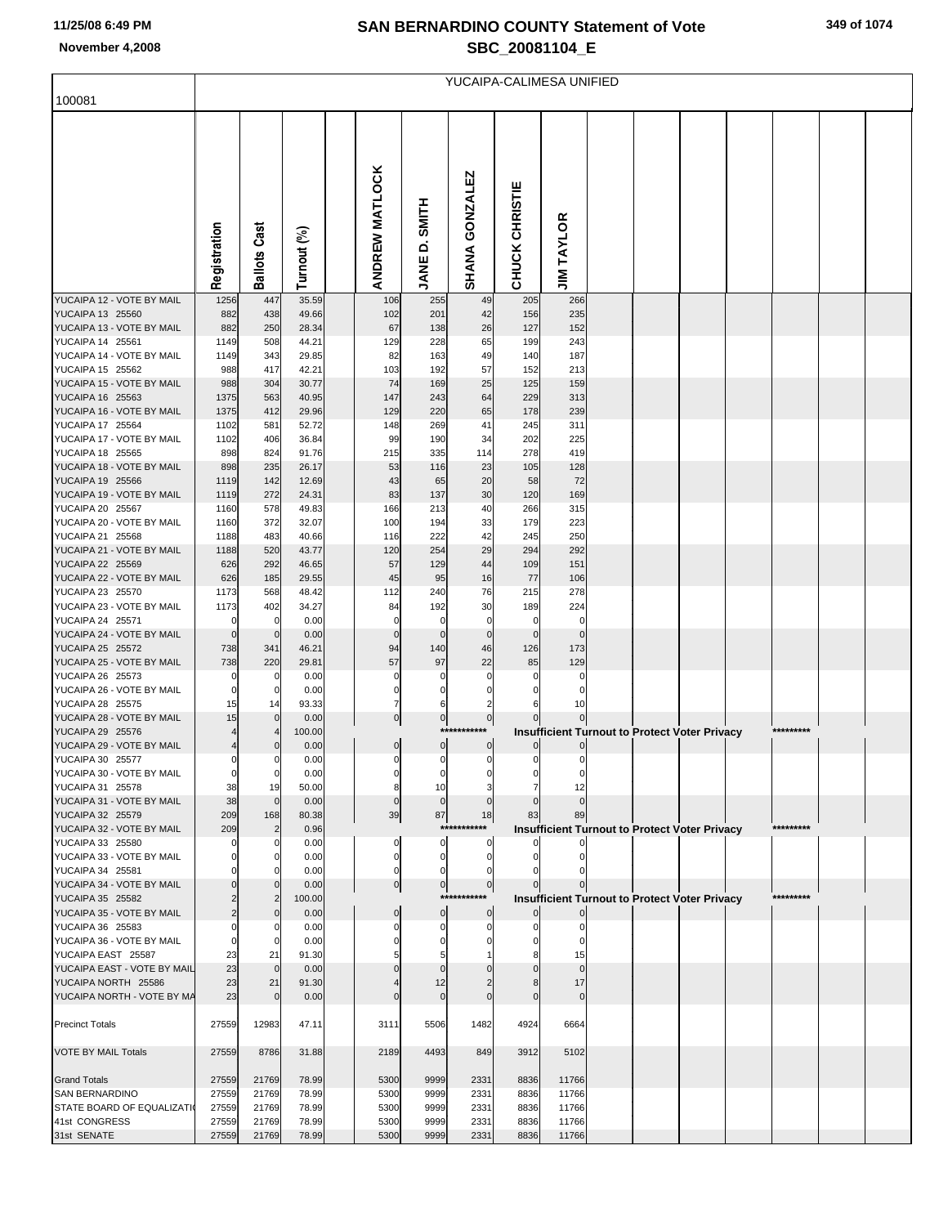## **SAN BERNARDINO COUNTY Statement of Vote November 4,2008 SBC\_20081104\_E**

|                                                      | YUCAIPA-CALIMESA UNIFIED |                                  |                |  |                       |                          |                                 |                |                   |  |  |                                                      |  |           |  |  |
|------------------------------------------------------|--------------------------|----------------------------------|----------------|--|-----------------------|--------------------------|---------------------------------|----------------|-------------------|--|--|------------------------------------------------------|--|-----------|--|--|
| 100081                                               |                          |                                  |                |  |                       |                          |                                 |                |                   |  |  |                                                      |  |           |  |  |
|                                                      | Registration             | Cast<br>Ballots                  | Turnout (%)    |  | <b>ANDREW MATLOCK</b> | <b>HILR</b><br>۵<br>JANE | <b>GONZALEZ</b><br><b>SHANA</b> | CHUCK CHRISTIE | <b>JIM TAYLOR</b> |  |  |                                                      |  |           |  |  |
| YUCAIPA 12 - VOTE BY MAIL                            | 1256                     | 447                              | 35.59          |  | 106                   | 255                      | 49                              | 205            | 266               |  |  |                                                      |  |           |  |  |
| YUCAIPA 13 25560<br>YUCAIPA 13 - VOTE BY MAIL        | 882<br>882               | 438<br>250                       | 49.66<br>28.34 |  | 102<br>67             | 201<br>138               | 42<br>26                        | 156<br>127     | 235<br>152        |  |  |                                                      |  |           |  |  |
| YUCAIPA 14 25561                                     | 1149                     | 508                              | 44.21          |  | 129                   | 228                      | 65                              | 199            | 243               |  |  |                                                      |  |           |  |  |
| YUCAIPA 14 - VOTE BY MAIL                            | 1149                     | 343                              | 29.85          |  | 82                    | 163                      | 49                              | 140            | 187               |  |  |                                                      |  |           |  |  |
| YUCAIPA 15 25562                                     | 988                      | 417                              | 42.21          |  | 103                   | 192                      | 57                              | 152            | 213               |  |  |                                                      |  |           |  |  |
| YUCAIPA 15 - VOTE BY MAIL<br>YUCAIPA 16 25563        | 988<br>1375              | 304<br>563                       | 30.77          |  | 74<br>147             | 169                      | 25                              | 125<br>229     | 159               |  |  |                                                      |  |           |  |  |
| YUCAIPA 16 - VOTE BY MAIL                            | 1375                     | 412                              | 40.95<br>29.96 |  | 129                   | 243<br>220               | 64<br>65                        | 178            | 313<br>239        |  |  |                                                      |  |           |  |  |
| YUCAIPA 17 25564                                     | 1102                     | 581                              | 52.72          |  | 148                   | 269                      | 41                              | 245            | 311               |  |  |                                                      |  |           |  |  |
| YUCAIPA 17 - VOTE BY MAIL                            | 1102                     | 406                              | 36.84          |  | 99                    | 190                      | 34                              | 202            | 225               |  |  |                                                      |  |           |  |  |
| YUCAIPA 18 25565                                     | 898                      | 824                              | 91.76          |  | 215                   | 335                      | 114                             | 278            | 419               |  |  |                                                      |  |           |  |  |
| YUCAIPA 18 - VOTE BY MAIL<br>YUCAIPA 19 25566        | 898<br>1119              | 235<br>142                       | 26.17<br>12.69 |  | 53<br>43              | 116                      | 23<br>20                        | 105<br>58      | 128<br>72         |  |  |                                                      |  |           |  |  |
| YUCAIPA 19 - VOTE BY MAIL                            | 1119                     | 272                              | 24.31          |  | 83                    | 65<br>137                | 30                              | 120            | 169               |  |  |                                                      |  |           |  |  |
| YUCAIPA 20 25567                                     | 1160                     | 578                              | 49.83          |  | 166                   | 213                      | 40                              | 266            | 315               |  |  |                                                      |  |           |  |  |
| YUCAIPA 20 - VOTE BY MAIL                            | 1160                     | 372                              | 32.07          |  | 100                   | 194                      | 33                              | 179            | 223               |  |  |                                                      |  |           |  |  |
| YUCAIPA 21 25568                                     | 1188                     | 483                              | 40.66          |  | 116                   | 222                      | 42                              | 245            | 250               |  |  |                                                      |  |           |  |  |
| YUCAIPA 21 - VOTE BY MAIL<br>YUCAIPA 22 25569        | 1188<br>626              | 520<br>292                       | 43.77<br>46.65 |  | 120<br>57             | 254<br>129               | 29<br>44                        | 294<br>109     | 292<br>151        |  |  |                                                      |  |           |  |  |
| YUCAIPA 22 - VOTE BY MAIL                            | 626                      | 185                              | 29.55          |  | 45                    | 95                       | 16                              | 77             | 106               |  |  |                                                      |  |           |  |  |
| YUCAIPA 23 25570                                     | 1173                     | 568                              | 48.42          |  | 112                   | 240                      | 76                              | 215            | 278               |  |  |                                                      |  |           |  |  |
| YUCAIPA 23 - VOTE BY MAIL                            | 1173                     | 402                              | 34.27          |  | 84                    | 192                      | 30                              | 189            | 224               |  |  |                                                      |  |           |  |  |
| YUCAIPA 24 25571<br>YUCAIPA 24 - VOTE BY MAIL        | - 0<br>$\Omega$          | $\overline{0}$<br>$\overline{0}$ | 0.00<br>0.00   |  |                       | n                        | 0<br>$\Omega$                   | 0<br>$\Omega$  | 0<br>$\Omega$     |  |  |                                                      |  |           |  |  |
| YUCAIPA 25 25572                                     | 738                      | 341                              | 46.21          |  | 94                    | 140                      | 46                              | 126            | 173               |  |  |                                                      |  |           |  |  |
| YUCAIPA 25 - VOTE BY MAIL                            | 738                      | 220                              | 29.81          |  | 57                    | 97                       | 22                              | 85             | 129               |  |  |                                                      |  |           |  |  |
| YUCAIPA 26 25573                                     |                          | 0                                | 0.00           |  |                       |                          | O                               | O              | 0                 |  |  |                                                      |  |           |  |  |
| YUCAIPA 26 - VOTE BY MAIL                            | $\Omega$                 | $\overline{0}$                   | 0.00           |  |                       | $\Omega$                 | $\Omega$                        | 0              | 0                 |  |  |                                                      |  |           |  |  |
| <b>YUCAIPA 28 25575</b><br>YUCAIPA 28 - VOTE BY MAIL | 15<br>15                 | 14<br>$\mathbf 0$                | 93.33<br>0.00  |  | $\mathbf 0$           | 6<br>$\overline{0}$      | 2<br>$\mathbf{0}$               | 6              | 10                |  |  |                                                      |  |           |  |  |
| YUCAIPA 29 25576                                     |                          | 4                                | 100.00         |  |                       |                          | ***********                     |                |                   |  |  | <b>Insufficient Turnout to Protect Voter Privacy</b> |  | ********* |  |  |
| YUCAIPA 29 - VOTE BY MAIL                            |                          | $\mathbf 0$                      | 0.00           |  | $\mathbf 0$           | $\overline{0}$           | $\mathbf{0}$                    | 0              | $\mathbf 0$       |  |  |                                                      |  |           |  |  |
| YUCAIPA 30 25577                                     |                          |                                  | 0.00           |  |                       |                          |                                 |                |                   |  |  |                                                      |  |           |  |  |
| YUCAIPA 30 - VOTE BY MAIL<br>YUCAIPA 31 25578        | 38                       | $\overline{0}$<br>19             | 0.00<br>50.00  |  |                       | 0<br>10                  |                                 |                | 12                |  |  |                                                      |  |           |  |  |
| YUCAIPA 31 - VOTE BY MAIL                            | 38                       | $\mathbf 0$                      | 0.00           |  |                       |                          |                                 |                |                   |  |  |                                                      |  |           |  |  |
| YUCAIPA 32 25579                                     | 209                      | 168                              | 80.38          |  | 39                    | 87                       | 18                              | 83             | 89                |  |  |                                                      |  |           |  |  |
| YUCAIPA 32 - VOTE BY MAIL                            | 209                      | $\overline{2}$                   | 0.96           |  |                       |                          | ***********                     |                |                   |  |  | <b>Insufficient Turnout to Protect Voter Privacy</b> |  | ********* |  |  |
| YUCAIPA 33 25580<br>YUCAIPA 33 - VOTE BY MAIL        |                          | 0<br>0                           | 0.00<br>0.00   |  |                       | $\mathbf{0}$<br>0        | 0                               |                |                   |  |  |                                                      |  |           |  |  |
| YUCAIPA 34 25581                                     |                          |                                  | 0.00           |  |                       |                          | 0                               |                |                   |  |  |                                                      |  |           |  |  |
| YUCAIPA 34 - VOTE BY MAIL                            |                          | $\Omega$                         | 0.00           |  | $\Omega$              | $\overline{0}$           | $\overline{0}$                  |                |                   |  |  |                                                      |  |           |  |  |
| YUCAIPA 35 25582                                     |                          | 2                                | 100.00         |  |                       |                          | ***********                     |                |                   |  |  | Insufficient Turnout to Protect Voter Privacy        |  | ********* |  |  |
| YUCAIPA 35 - VOTE BY MAIL<br>YUCAIPA 36 25583        |                          | $\Omega$<br>0                    | 0.00<br>0.00   |  | $\Omega$              | $\overline{0}$           | $\mathbf{0}$<br>0               |                |                   |  |  |                                                      |  |           |  |  |
| YUCAIPA 36 - VOTE BY MAIL                            |                          | 0                                | 0.00           |  |                       |                          |                                 |                |                   |  |  |                                                      |  |           |  |  |
| YUCAIPA EAST 25587                                   | 23                       | 21                               | 91.30          |  |                       |                          |                                 |                | 15                |  |  |                                                      |  |           |  |  |
| YUCAIPA EAST - VOTE BY MAIL                          | 23                       | $\mathbf 0$                      | 0.00           |  |                       |                          |                                 |                |                   |  |  |                                                      |  |           |  |  |
| YUCAIPA NORTH 25586                                  | 23                       | 21                               | 91.30          |  |                       | 12                       |                                 | 8              | 17                |  |  |                                                      |  |           |  |  |
| YUCAIPA NORTH - VOTE BY MA                           | 23                       | $\mathbf 0$                      | 0.00           |  |                       |                          |                                 |                | $\Omega$          |  |  |                                                      |  |           |  |  |
| <b>Precinct Totals</b>                               | 27559                    | 12983                            | 47.11          |  | 3111                  | 5506                     | 1482                            | 4924           | 6664              |  |  |                                                      |  |           |  |  |
|                                                      |                          |                                  |                |  |                       |                          |                                 |                |                   |  |  |                                                      |  |           |  |  |
| VOTE BY MAIL Totals                                  | 27559                    | 8786                             | 31.88          |  | 2189                  | 4493                     | 849                             | 3912           | 5102              |  |  |                                                      |  |           |  |  |
| <b>Grand Totals</b>                                  | 27559                    | 21769                            | 78.99          |  | 5300                  | 9999                     | 2331                            | 8836           | 11766             |  |  |                                                      |  |           |  |  |
| <b>SAN BERNARDINO</b>                                | 27559                    | 21769                            | 78.99          |  | 5300                  | 9999                     | 2331                            | 8836           | 11766             |  |  |                                                      |  |           |  |  |
| STATE BOARD OF EQUALIZATI                            | 27559                    | 21769                            | 78.99          |  | 5300                  | 9999                     | 2331                            | 8836           | 11766             |  |  |                                                      |  |           |  |  |
| 41st CONGRESS                                        | 27559                    | 21769                            | 78.99          |  | 5300                  | 9999                     | 2331                            | 8836           | 11766             |  |  |                                                      |  |           |  |  |
| 31st SENATE                                          | 27559                    | 21769                            | 78.99          |  | 5300                  | 9999                     | 2331                            | 8836           | 11766             |  |  |                                                      |  |           |  |  |